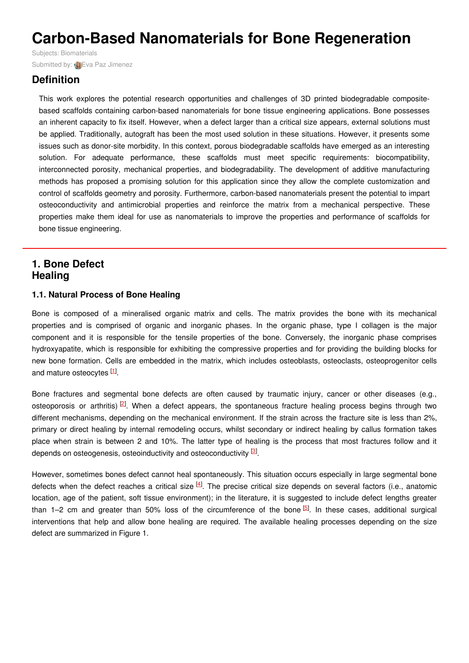# **Carbon-Based Nanomaterials for Bone Regeneration**

Subjects: [Biomaterials](https://encyclopedia.pub/item/subject/34) Submitted by: **(A)** Eva Paz [Jimenez](https://sciprofiles.com/profile/824593)

# **Definition**

This work explores the potential research opportunities and challenges of 3D printed biodegradable compositebased scaffolds containing carbon-based nanomaterials for bone tissue engineering applications. Bone possesses an inherent capacity to fix itself. However, when a defect larger than a critical size appears, external solutions must be applied. Traditionally, autograft has been the most used solution in these situations. However, it presents some issues such as donor-site morbidity. In this context, porous biodegradable scaffolds have emerged as an interesting solution. For adequate performance, these scaffolds must meet specific requirements: biocompatibility, interconnected porosity, mechanical properties, and biodegradability. The development of additive manufacturing methods has proposed a promising solution for this application since they allow the complete customization and control of scaffolds geometry and porosity. Furthermore, carbon-based nanomaterials present the potential to impart osteoconductivity and antimicrobial properties and reinforce the matrix from a mechanical perspective. These properties make them ideal for use as nanomaterials to improve the properties and performance of scaffolds for bone tissue engineering.

## **1. Bone Defect Healing**

## **1.1. Natural Process of Bone Healing**

Bone is composed of a mineralised organic matrix and cells. The matrix provides the bone with its mechanical properties and is comprised of organic and inorganic phases. In the organic phase, type I collagen is the major component and it is responsible for the tensile properties of the bone. Conversely, the inorganic phase comprises hydroxyapatite, which is responsible for exhibiting the compressive properties and for providing the building blocks for new bone formation. Cells are embedded in the matrix, which includes osteoblasts, osteoclasts, osteoprogenitor cells and mature osteocytes [\[1](#page-3-0)].

Bone fractures and segmental bone defects are often caused by traumatic injury, cancer or other diseases (e.g., osteoporosis or arthritis)<sup>[\[2](#page-3-1)]</sup>. When a defect appears, the spontaneous fracture healing process begins through two different mechanisms, depending on the mechanical environment. If the strain across the fracture site is less than 2%, primary or direct healing by internal remodeling occurs, whilst secondary or indirect healing by callus formation takes place when strain is between 2 and 10%. The latter type of healing is the process that most fractures follow and it depends on osteogenesis, osteoinductivity and osteoconductivity <sup>[\[3](#page-3-2)]</sup>.

However, sometimes bones defect cannot heal spontaneously. This situation occurs especially in large segmental bone defects when the defect reaches a critical size  $[4]$  $[4]$ . The precise critical size depends on several factors (i.e., anatomic location, age of the patient, soft tissue environment); in the literature, it is suggested to include defect lengths greater than 1–2 cm and greater than 50% loss of the circumference of the bone <sup>[\[5](#page-3-4)]</sup>. In these cases, additional surgical interventions that help and allow bone healing are required. The available healing processes depending on the size defect are summarized in Figure 1.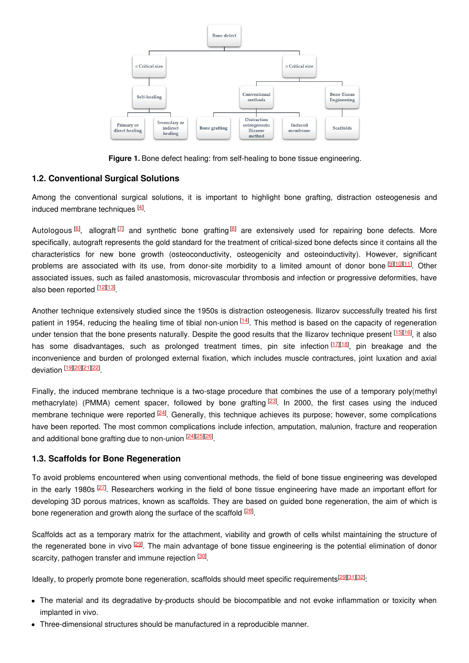

**Figure 1.** Bone defect healing: from self-healing to bone tissue engineering.

## **1.2. Conventional Surgical Solutions**

Among the conventional surgical solutions, it is important to highlight bone grafting, distraction osteogenesis and induced membrane techniques <sup>[\[4](#page-3-3)]</sup>.

Autologous  $[6]$  $[6]$ , allograft  $[7]$  $[7]$  and synthetic bone grafting  $[8]$  $[8]$  are extensively used for repairing bone defects. More specifically, autograft represents the gold standard for the treatment of critical-sized bone defects since it contains all the characteristics for new bone growth (osteoconductivity, osteogenicity and osteoinductivity). However, significant problems are associated with its use, from donor-site morbidity to a limited amount of donor bone **Diolimi**. Other associated issues, such as failed anastomosis, microvascular thrombosis and infection or progressive deformities, have also been reported [\[12](#page-4-1)][\[13](#page-4-2)]

Another technique extensively studied since the 1950s is distraction osteogenesis. Ilizarov successfully treated his first patient in 1954, reducing the healing time of tibial non-union [\[14](#page-4-3)]. This method is based on the capacity of regeneration under tension that the bone presents naturally. Despite the good results that the Ilizarov technique present <sup>[\[15](#page-4-4)][\[16](#page-4-5)]</sup>, it also has some disadvantages, such as prolonged treatment times, pin site infection<sup>[[17](#page-4-6)][\[18](#page-4-7)]</sup>, pin breakage and the inconvenience and burden of prolonged external fixation, which includes muscle contractures, joint luxation and axial deviation [<u>19][\[20](#page-4-9)][\[21](#page-4-10)][\[22](#page-4-11)]</u>

Finally, the induced membrane technique is a two-stage procedure that combines the use of a temporary poly(methyl methacrylate) (PMMA) cement spacer, followed by bone grafting <sup>[\[23](#page-4-12)]</sup>. In 2000, the first cases using the induced membrane technique were reported <sup>[\[24](#page-4-13)]</sup>. Generally, this technique achieves its purpose; however, some complications have been reported. The most common complications include infection, amputation, malunion, fracture and reoperation and additional bone grafting due to non-union <sup>[\[24](#page-4-13)][\[25](#page-4-14)][\[26](#page-4-15)]</sup>.

## **1.3. Scaffolds for Bone Regeneration**

To avoid problems encountered when using conventional methods, the field of bone tissue engineering was developed in the early 1980s <sup>[\[27](#page-4-16)]</sup>. Researchers working in the field of bone tissue engineering have made an important effort for developing 3D porous matrices, known as scaffolds. They are based on guided bone regeneration, the aim of which is bone regeneration and growth along the surface of the scaffold <sup>[\[28](#page-4-17)]</sup>.

Scaffolds act as a temporary matrix for the attachment, viability and growth of cells whilst maintaining the structure of the regenerated bone in vivo <sup>[\[29](#page-4-18)]</sup>. The main advantage of bone tissue engineering is the potential elimination of donor scarcity, pathogen transfer and immune rejection <sup>[\[30](#page-4-19)]</sup>.

Ideally, to properly promote bone regeneration, scaffolds should meet specific requirements <sup>[\[29](#page-4-18)][\[31](#page-4-20)][\[32](#page-4-21)]</sup>:

- The material and its degradative by-products should be biocompatible and not evoke inflammation or toxicity when implanted in vivo.
- Three-dimensional structures should be manufactured in a reproducible manner.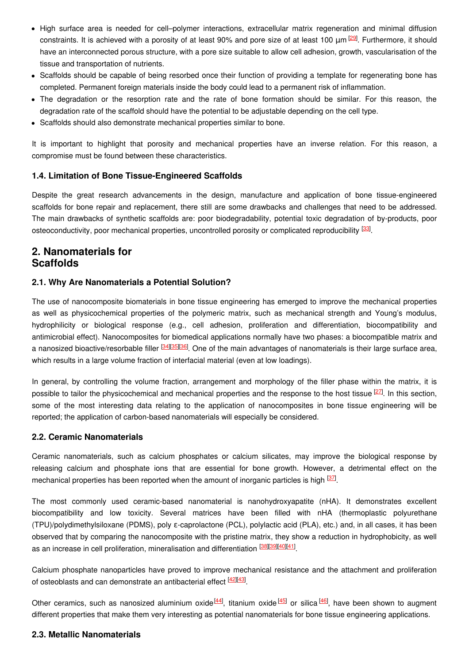- High surface area is needed for cell–polymer interactions, extracellular matrix regeneration and minimal diffusion constraints. It is achieved with a porosity of at least 90% and pore size of at least 100 μm 29. Furthermore, it should have an interconnected porous structure, with a pore size suitable to allow cell adhesion, growth, vascularisation of the tissue and transportation of nutrients.
- Scaffolds should be capable of being resorbed once their function of providing a template for regenerating bone has completed. Permanent foreign materials inside the body could lead to a permanent risk of inflammation.
- The degradation or the resorption rate and the rate of bone formation should be similar. For this reason, the degradation rate of the scaffold should have the potential to be adjustable depending on the cell type.
- Scaffolds should also demonstrate mechanical properties similar to bone.

It is important to highlight that porosity and mechanical properties have an inverse relation. For this reason, a compromise must be found between these characteristics.

## **1.4. Limitation of Bone Tissue-Engineered Scaffolds**

Despite the great research advancements in the design, manufacture and application of bone tissue-engineered scaffolds for bone repair and replacement, there still are some drawbacks and challenges that need to be addressed. The main drawbacks of synthetic scaffolds are: poor biodegradability, potential toxic degradation of by-products, poor osteoconductivity, poor mechanical properties, uncontrolled porosity or complicated reproducibility <sup>[\[33](#page-4-22)]</sup>.

## **2. Nanomaterials for Scaffolds**

## **2.1. Why Are Nanomaterials a Potential Solution?**

The use of nanocomposite biomaterials in bone tissue engineering has emerged to improve the mechanical properties as well as physicochemical properties of the polymeric matrix, such as mechanical strength and Young's modulus, hydrophilicity or biological response (e.g., cell adhesion, proliferation and differentiation, biocompatibility and antimicrobial effect). Nanocomposites for biomedical applications normally have two phases: a biocompatible matrix and a nanosized bioactive/resorbable filler <sup>[\[34](#page-4-23)][[35](#page-4-24)][\[36](#page-4-25)]</sup>. One of the main advantages of nanomaterials is their large surface area, which results in a large volume fraction of interfacial material (even at low loadings).

In general, by controlling the volume fraction, arrangement and morphology of the filler phase within the matrix, it is possible to tailor the physicochemical and mechanical properties and the response to the host tissue <sup>[\[27](#page-4-16)]</sup>. In this section, some of the most interesting data relating to the application of nanocomposites in bone tissue engineering will be reported; the application of carbon-based nanomaterials will especially be considered.

#### **2.2. Ceramic Nanomaterials**

Ceramic nanomaterials, such as calcium phosphates or calcium silicates, may improve the biological response by releasing calcium and phosphate ions that are essential for bone growth. However, a detrimental effect on the mechanical properties has been reported when the amount of inorganic particles is high <sup>[\[37](#page-4-26)]</sup>.

The most commonly used ceramic-based nanomaterial is nanohydroxyapatite (nHA). It demonstrates excellent biocompatibility and low toxicity. Several matrices have been filled with nHA (thermoplastic polyurethane (TPU)/polydimethylsiloxane (PDMS), poly ε-caprolactone (PCL), polylactic acid (PLA), etc.) and, in all cases, it has been observed that by comparing the nanocomposite with the pristine matrix, they show a reduction in hydrophobicity, as well as an increase in cell proliferation, mineralisation and differentiation **[\[38](#page-4-27)][\[39](#page-5-0)][\[40](#page-5-1)][\[41](#page-5-2)]**.

Calcium phosphate nanoparticles have proved to improve mechanical resistance and the attachment and proliferation of osteoblasts and can demonstrate an antibacterial effect  $\frac{[42][43]}{]}$  $\frac{[42][43]}{]}$  $\frac{[42][43]}{]}$  $\frac{[42][43]}{]}$  $\frac{[42][43]}{]}$ .

Other ceramics, such as nanosized aluminium oxide<sup>[\[44](#page-5-5)]</sup>, titanium oxide<sup>[\[45](#page-5-6)]</sup> or silica<sup>[\[46](#page-5-7)]</sup>, have been shown to augment different properties that make them very interesting as potential nanomaterials for bone tissue engineering applications.

## **2.3. Metallic Nanomaterials**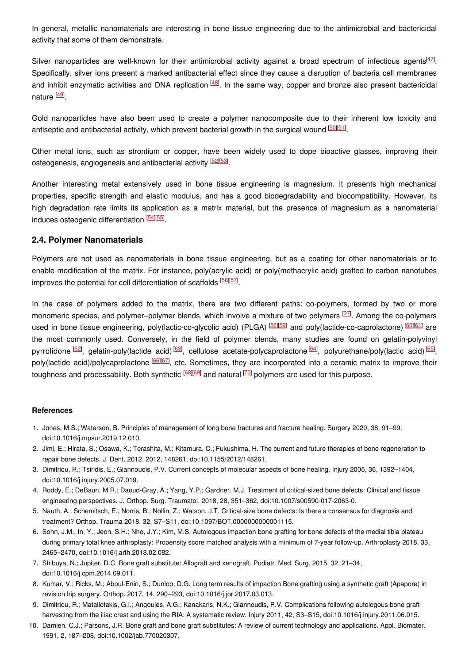In general, metallic nanomaterials are interesting in bone tissue engineering due to the antimicrobial and bactericidal activity that some of them demonstrate.

Silver nanoparticles are well-known for their antimicrobial activity against a broad spectrum of infectious agents<sup>[\[47](#page-5-8)]</sup>. Specifically, silver ions present a marked antibacterial effect since they cause a disruption of bacteria cell membranes and inhibit enzymatic activities and DNA replication <sup>[\[48](#page-5-9)]</sup>. In the same way, copper and bronze also present bactericidal nature <sup>[\[49](#page-5-10)]</sup>.

Gold nanoparticles have also been used to create a polymer nanocomposite due to their inherent low toxicity and antiseptic and antibacterial activity, which prevent bacterial growth in the surgical wound <sup>[\[50](#page-5-11)][\[51](#page-5-12)]</sup>.

Other metal ions, such as strontium or copper, have been widely used to dope bioactive glasses, improving their osteogenesis, angiogenesis and antibacterial activity <sup>[\[52](#page-5-13)][\[53](#page-5-14)]</sup>.

Another interesting metal extensively used in bone tissue engineering is magnesium. It presents high mechanical properties, specific strength and elastic modulus, and has a good biodegradability and biocompatibility. However, its high degradation rate limits its application as a matrix material, but the presence of magnesium as a nanomaterial induces osteogenic differentiation [[54](#page-5-15)][\[55](#page-5-16)]

#### **2.4. Polymer Nanomaterials**

Polymers are not used as nanomaterials in bone tissue engineering, but as a coating for other nanomaterials or to enable modification of the matrix. For instance, poly(acrylic acid) or poly(methacrylic acid) grafted to carbon nanotubes improves the potential for cell differentiation of scaffolds [\[56](#page-5-17)][\[57](#page-5-18)].

In the case of polymers added to the matrix, there are two different paths: co-polymers, formed by two or more monomeric species, and polymer–polymer blends, which involve a mixture of two polymers <sup>[\[27](#page-4-16)]</sup>. Among the co-polymers used in bone tissue engineering, poly(lactic-co-glycolic acid) (PLGA) <sup>[\[58](#page-5-19)][\[59](#page-5-20)]</sup> and poly(lactide-co-caprolactone) <sup>[\[60](#page-5-21)][\[61](#page-5-22)]</sup> are the most commonly used. Conversely, in the field of polymer blends, many studies are found on gelatin-polyvinyl pyrrolidone <sup>[\[62](#page-5-23)]</sup>, gelatin-poly(lactide acid) <sup>[\[63](#page-6-0)]</sup>, cellulose acetate-polycaprolactone <sup>[\[64](#page-6-1)]</sup>, polyurethane/poly(lactic acid) <sup>[\[65](#page-6-2)]</sup>, poly(lactide acid)/polycaprolactone <sup>[\[66](#page-6-3)][[67](#page-6-4)]</sup>, etc. Sometimes, they are incorporated into a ceramic matrix to improve their toughness and processability. Both synthetic <sup>[\[68](#page-6-5)][\[69](#page-6-6)]</sup> and natural <sup>[\[70](#page-6-7)]</sup> polymers are used for this purpose.

#### **References**

- <span id="page-3-0"></span>1. Jones, M.S.; Waterson, B. Principles of management of long bone fractures and fracture healing. Surgery 2020, 38, 91–99, doi:10.1016/j.mpsur.2019.12.010.
- <span id="page-3-1"></span>2. Jimi, E.; Hirata, S.; Osawa, K.; Terashita, M.; Kitamura, C.; Fukushima, H. The current and future therapies of bone regeneration to repair bone defects. J. Dent. 2012, 2012, 148261, doi:10.1155/2012/148261.
- <span id="page-3-2"></span>3. Dimitriou, R.; Tsiridis, E.; Giannoudis, P.V. Current concepts of molecular aspects of bone healing. Injury 2005, 36, 1392–1404, doi:10.1016/j.injury.2005.07.019.
- <span id="page-3-3"></span>4. Roddy, E.; DeBaun, M.R.; Daoud-Gray, A.; Yang, Y.P.; Gardner, M.J. Treatment of critical-sized bone defects: Clinical and tissue engineering perspectives. J. Orthop. Surg. Traumatol. 2018, 28, 351–362, doi:10.1007/s00590-017-2063-0.
- <span id="page-3-4"></span>5. Nauth, A.; Schemitsch, E.; Norris, B.; Nollin, Z.; Watson, J.T. Critical-size bone defects: Is there a consensus for diagnosis and treatment? Orthop. Trauma 2018, 32, S7–S11, doi:10.1097/BOT.0000000000001115.
- <span id="page-3-5"></span>6. Sohn, J.M.; In, Y.; Jeon, S.H.; Nho, J.Y.; Kim, M.S. Autologous impaction bone grafting for bone defects of the medial tibia plateau during primary total knee arthroplasty: Propensity score matched analysis with a minimum of 7-year follow-up. Arthroplasty 2018, 33, 2465–2470, doi:10.1016/j.arth.2018.02.082.
- <span id="page-3-6"></span>7. Shibuya, N.; Jupiter, D.C. Bone graft substitute: Allograft and xenograft. Podiatr. Med. Surg. 2015, 32, 21–34, doi:10.1016/j.cpm.2014.09.011.
- <span id="page-3-7"></span>8. Kumar, V.; Ricks, M.; Aboul-Enin, S.; Dunlop, D.G. Long term results of impaction Bone grafting using a synthetic graft (Apapore) in revision hip surgery. Orthop. 2017, 14, 290–293, doi:10.1016/j.jor.2017.03.013.
- <span id="page-3-8"></span>9. Dimitriou, R.; Mataliotakis, G.I.; Angoules, A.G.; Kanakaris, N.K.; Giannoudis, P.V. Complications following autologous bone graft harvesting from the iliac crest and using the RIA: A systematic review. Injury 2011, 42, S3–S15, doi:10.1016/j.injury.2011.06.015.
- <span id="page-3-9"></span>10. Damien, C.J.; Parsons, J.R. Bone graft and bone graft substitutes: A review of current technology and applications. Appl. Biomater. 1991, 2, 187–208, doi:10.1002/jab.770020307.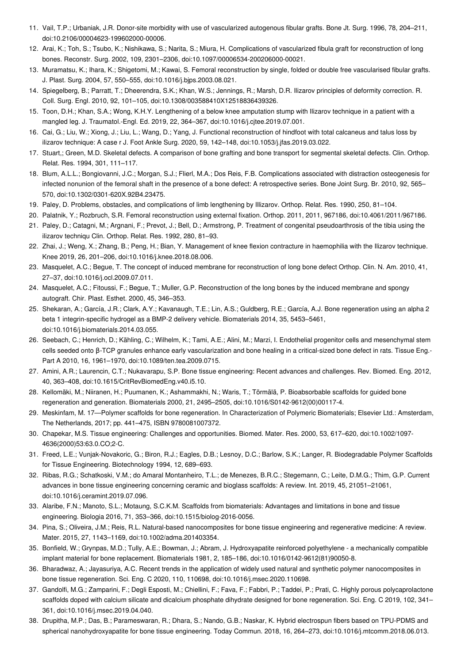- <span id="page-4-0"></span>11. Vail, T.P.; Urbaniak, J.R. Donor-site morbidity with use of vascularized autogenous fibular grafts. Bone Jt. Surg. 1996, 78, 204–211, doi:10.2106/00004623-199602000-00006.
- <span id="page-4-1"></span>12. Arai, K.; Toh, S.; Tsubo, K.; Nishikawa, S.; Narita, S.; Miura, H. Complications of vascularized fibula graft for reconstruction of long bones. Reconstr. Surg. 2002, 109, 2301–2306, doi:10.1097/00006534-200206000-00021.
- <span id="page-4-2"></span>13. Muramatsu, K.; Ihara, K.; Shigetomi, M.; Kawai, S. Femoral reconstruction by single, folded or double free vascularised fibular grafts. J. Plast. Surg. 2004, 57, 550–555, doi:10.1016/j.bjps.2003.08.021.
- <span id="page-4-3"></span>14. Spiegelberg, B.; Parratt, T.; Dheerendra, S.K.; Khan, W.S.; Jennings, R.; Marsh, D.R. Ilizarov principles of deformity correction. R. Coll. Surg. Engl. 2010, 92, 101–105, doi:10.1308/003588410X12518836439326.
- <span id="page-4-4"></span>15. Toon, D.H.; Khan, S.A.; Wong, K.H.Y. Lengthening of a below knee amputation stump with Ilizarov technique in a patient with a mangled leg. J. Traumatol.-Engl. Ed. 2019, 22, 364–367, doi:10.1016/j.cjtee.2019.07.001.
- <span id="page-4-5"></span>16. Cai, G.; Liu, W.; Xiong, J.; Liu, L.; Wang, D.; Yang, J. Functional reconstruction of hindfoot with total calcaneus and talus loss by ilizarov technique: A case r J. Foot Ankle Surg. 2020, 59, 142–148, doi:10.1053/j.jfas.2019.03.022.
- <span id="page-4-6"></span>17. Stuart,; Green, M.D. Skeletal defects. A comparison of bone grafting and bone transport for segmental skeletal defects. Clin. Orthop. Relat. Res. 1994, 301, 111–117.
- <span id="page-4-7"></span>18. Blum, A.L.L.; Bongiovanni, J.C.; Morgan, S.J.; Flierl, M.A.; Dos Reis, F.B. Complications associated with distraction osteogenesis for infected nonunion of the femoral shaft in the presence of a bone defect: A retrospective series. Bone Joint Surg. Br. 2010, 92, 565– 570, doi:10.1302/0301-620X.92B4.23475.
- <span id="page-4-8"></span>19. Paley, D. Problems, obstacles, and complications of limb lengthening by Illizarov. Orthop. Relat. Res. 1990, 250, 81–104.
- <span id="page-4-9"></span>20. Palatnik, Y.; Rozbruch, S.R. Femoral reconstruction using external fixation. Orthop. 2011, 2011, 967186, doi:10.4061/2011/967186.
- <span id="page-4-10"></span>21. Paley, D.; Catagni, M.; Argnani, F.; Prevot, J.; Bell, D.; Armstrong, P. Treatment of congenital pseudoarthrosis of the tibia using the ilizarov techniqu Clin. Orthop. Relat. Res. 1992, 280, 81–93.
- <span id="page-4-11"></span>22. Zhai, J.; Weng, X.; Zhang, B.; Peng, H.; Bian, Y. Management of knee flexion contracture in haemophilia with the Ilizarov technique. Knee 2019, 26, 201–206, doi:10.1016/j.knee.2018.08.006.
- <span id="page-4-12"></span>23. Masquelet, A.C.; Begue, T. The concept of induced membrane for reconstruction of long bone defect Orthop. Clin. N. Am. 2010, 41, 27–37, doi:10.1016/j.ocl.2009.07.011.
- <span id="page-4-13"></span>24. Masquelet, A.C.; Fitoussi, F.; Begue, T.; Muller, G.P. Reconstruction of the long bones by the induced membrane and spongy autograft. Chir. Plast. Esthet. 2000, 45, 346–353.
- <span id="page-4-14"></span>25. Shekaran, A.; García, J.R.; Clark, A.Y.; Kavanaugh, T.E.; Lin, A.S.; Guldberg, R.E.; García, A.J. Bone regeneration using an alpha 2 beta 1 integrin-specific hydrogel as a BMP-2 delivery vehicle. Biomaterials 2014, 35, 5453–5461, doi:10.1016/j.biomaterials.2014.03.055.
- <span id="page-4-15"></span>26. Seebach, C.; Henrich, D.; Kähling, C.; Wilhelm, K.; Tami, A.E.; Alini, M.; Marzi, I. Endothelial progenitor cells and mesenchymal stem cells seeded onto β-TCP granules enhance early vascularization and bone healing in a critical-sized bone defect in rats. Tissue Eng.- Part A 2010, 16, 1961–1970, doi:10.1089/ten.tea.2009.0715.
- <span id="page-4-16"></span>27. Amini, A.R.; Laurencin, C.T.; Nukavarapu, S.P. Bone tissue engineering: Recent advances and challenges. Rev. Biomed. Eng. 2012, 40, 363–408, doi:10.1615/CritRevBiomedEng.v40.i5.10.
- <span id="page-4-17"></span>28. Kellomäki, M.; Niiranen, H.; Puumanen, K.; Ashammakhi, N.; Waris, T.; Törmälä, P. Bioabsorbable scaffolds for guided bone regeneration and generation. Biomaterials 2000, 21, 2495–2505, doi:10.1016/S0142-9612(00)00117-4.
- <span id="page-4-18"></span>29. Meskinfam, M. 17—Polymer scaffolds for bone regeneration. In Characterization of Polymeric Biomaterials; Elsevier Ltd.: Amsterdam, The Netherlands, 2017; pp. 441–475, ISBN 9780081007372.
- <span id="page-4-19"></span>30. Chapekar, M.S. Tissue engineering: Challenges and opportunities. Biomed. Mater. Res. 2000, 53, 617–620, doi:10.1002/1097- 4636(2000)53:63.0.CO;2-C.
- <span id="page-4-20"></span>31. Freed, L.E.; Vunjak-Novakoric, G.; Biron, R.J.; Eagles, D.B.; Lesnoy, D.C.; Barlow, S.K.; Langer, R. Biodegradable Polymer Scaffolds for Tissue Engineering. Biotechnology 1994, 12, 689–693.
- <span id="page-4-21"></span>32. Ribas, R.G.; Schatkoski, V.M.; do Amaral Montanheiro, T.L.; de Menezes, B.R.C.; Stegemann, C.; Leite, D.M.G.; Thim, G.P. Current advances in bone tissue engineering concerning ceramic and bioglass scaffolds: A review. Int. 2019, 45, 21051–21061, doi:10.1016/j.ceramint.2019.07.096.
- <span id="page-4-22"></span>33. Alaribe, F.N.; Manoto, S.L.; Motaung, S.C.K.M. Scaffolds from biomaterials: Advantages and limitations in bone and tissue engineering. Biologia 2016, 71, 353–366, doi:10.1515/biolog-2016-0056.
- <span id="page-4-23"></span>34. Pina, S.; Oliveira, J.M.; Reis, R.L. Natural-based nanocomposites for bone tissue engineering and regenerative medicine: A review. Mater. 2015, 27, 1143–1169, doi:10.1002/adma.201403354.
- <span id="page-4-24"></span>35. Bonfield, W.; Grynpas, M.D.; Tully, A.E.; Bowman, J.; Abram, J. Hydroxyapatite reinforced polyethylene - a mechanically compatible implant material for bone replacement. Biomaterials 1981, 2, 185–186, doi:10.1016/0142-9612(81)90050-8.
- <span id="page-4-25"></span>36. Bharadwaz, A.; Jayasuriya, A.C. Recent trends in the application of widely used natural and synthetic polymer nanocomposites in bone tissue regeneration. Sci. Eng. C 2020, 110, 110698, doi:10.1016/j.msec.2020.110698.
- <span id="page-4-26"></span>37. Gandolfi, M.G.; Zamparini, F.; Degli Esposti, M.; Chiellini, F.; Fava, F.; Fabbri, P.; Taddei, P.; Prati, C. Highly porous polycaprolactone scaffolds doped with calcium silicate and dicalcium phosphate dihydrate designed for bone regeneration. Sci. Eng. C 2019, 102, 341– 361, doi:10.1016/j.msec.2019.04.040.
- <span id="page-4-27"></span>38. Drupitha, M.P.; Das, B.; Parameswaran, R.; Dhara, S.; Nando, G.B.; Naskar, K. Hybrid electrospun fibers based on TPU-PDMS and spherical nanohydroxyapatite for bone tissue engineering. Today Commun. 2018, 16, 264–273, doi:10.1016/j.mtcomm.2018.06.013.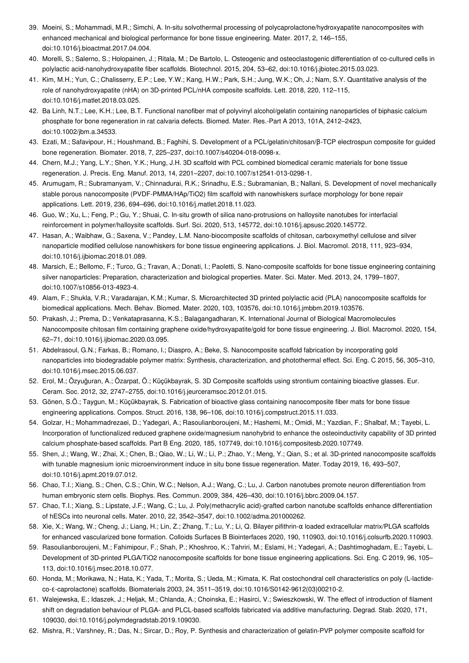- <span id="page-5-0"></span>39. Moeini, S.; Mohammadi, M.R.; Simchi, A. In-situ solvothermal processing of polycaprolactone/hydroxyapatite nanocomposites with enhanced mechanical and biological performance for bone tissue engineering. Mater. 2017, 2, 146–155, doi:10.1016/j.bioactmat.2017.04.004.
- <span id="page-5-1"></span>40. Morelli, S.; Salerno, S.; Holopainen, J.; Ritala, M.; De Bartolo, L. Osteogenic and osteoclastogenic differentiation of co-cultured cells in polylactic acid-nanohydroxyapatite fiber scaffolds. Biotechnol. 2015, 204, 53–62, doi:10.1016/j.jbiotec.2015.03.023.
- <span id="page-5-2"></span>41. Kim, M.H.; Yun, C.; Chalisserry, E.P.; Lee, Y.W.; Kang, H.W.; Park, S.H.; Jung, W.K.; Oh, J.; Nam, S.Y. Quantitative analysis of the role of nanohydroxyapatite (nHA) on 3D-printed PCL/nHA composite scaffolds. Lett. 2018, 220, 112–115, doi:10.1016/j.matlet.2018.03.025.
- <span id="page-5-3"></span>42. Ba Linh, N.T.; Lee, K.H.; Lee, B.T. Functional nanofiber mat of polyvinyl alcohol/gelatin containing nanoparticles of biphasic calcium phosphate for bone regeneration in rat calvaria defects. Biomed. Mater. Res.-Part A 2013, 101A, 2412–2423, doi:10.1002/jbm.a.34533.
- <span id="page-5-4"></span>43. Ezati, M.; Safavipour, H.; Houshmand, B.; Faghihi, S. Development of a PCL/gelatin/chitosan/β-TCP electrospun composite for guided bone regeneration. Biomater. 2018, 7, 225–237, doi:10.1007/s40204-018-0098-x.
- <span id="page-5-5"></span>44. Chern, M.J.; Yang, L.Y.; Shen, Y.K.; Hung, J.H. 3D scaffold with PCL combined biomedical ceramic materials for bone tissue regeneration. J. Precis. Eng. Manuf. 2013, 14, 2201–2207, doi:10.1007/s12541-013-0298-1.
- <span id="page-5-6"></span>45. Arumugam, R.; Subramanyam, V.; Chinnadurai, R.K.; Srinadhu, E.S.; Subramanian, B.; Nallani, S. Development of novel mechanically stable porous nanocomposite (PVDF-PMMA/HAp/TiO2) film scaffold with nanowhiskers surface morphology for bone repair applications. Lett. 2019, 236, 694–696, doi:10.1016/j.matlet.2018.11.023.
- <span id="page-5-7"></span>46. Guo, W.; Xu, L.; Feng, P.; Gu, Y.; Shuai, C. In-situ growth of silica nano-protrusions on halloysite nanotubes for interfacial reinforcement in polymer/halloysite scaffolds. Surf. Sci. 2020, 513, 145772, doi:10.1016/j.apsusc.2020.145772.
- <span id="page-5-8"></span>47. Hasan, A.; Waibhaw, G.; Saxena, V.; Pandey, L.M. Nano-biocomposite scaffolds of chitosan, carboxymethyl cellulose and silver nanoparticle modified cellulose nanowhiskers for bone tissue engineering applications. J. Biol. Macromol. 2018, 111, 923–934, doi:10.1016/j.ijbiomac.2018.01.089.
- <span id="page-5-9"></span>48. Marsich, E.; Bellomo, F.; Turco, G.; Travan, A.; Donati, I.; Paoletti, S. Nano-composite scaffolds for bone tissue engineering containing silver nanoparticles: Preparation, characterization and biological properties. Mater. Sci. Mater. Med. 2013, 24, 1799–1807, doi:10.1007/s10856-013-4923-4.
- <span id="page-5-10"></span>49. Alam, F.; Shukla, V.R.; Varadarajan, K.M.; Kumar, S. Microarchitected 3D printed polylactic acid (PLA) nanocomposite scaffolds for biomedical applications. Mech. Behav. Biomed. Mater. 2020, 103, 103576, doi:10.1016/j.jmbbm.2019.103576.
- <span id="page-5-11"></span>50. Prakash, J.; Prema, D.; Venkataprasanna, K.S.; Balagangadharan, K. International Journal of Biological Macromolecules Nanocomposite chitosan film containing graphene oxide/hydroxyapatite/gold for bone tissue engineering. J. Biol. Macromol. 2020, 154, 62–71, doi:10.1016/j.ijbiomac.2020.03.095.
- <span id="page-5-12"></span>51. Abdelrasoul, G.N.; Farkas, B.; Romano, I.; Diaspro, A.; Beke, S. Nanocomposite scaffold fabrication by incorporating gold nanoparticles into biodegradable polymer matrix: Synthesis, characterization, and photothermal effect. Sci. Eng. C 2015, 56, 305–310, doi:10.1016/j.msec.2015.06.037.
- <span id="page-5-13"></span>52. Erol, M.; Özyuĝuran, A.; Özarpat, Ö.; Küçükbayrak, S. 3D Composite scaffolds using strontium containing bioactive glasses. Eur. Ceram. Soc. 2012, 32, 2747–2755, doi:10.1016/j.jeurceramsoc.2012.01.015.
- <span id="page-5-14"></span>53. Gönen, S.Ö.; Taygun, M.; Küçükbayrak, S. Fabrication of bioactive glass containing nanocomposite fiber mats for bone tissue engineering applications. Compos. Struct. 2016, 138, 96–106, doi:10.1016/j.compstruct.2015.11.033.
- <span id="page-5-15"></span>54. Golzar, H.; Mohammadrezaei, D.; Yadegari, A.; Rasoulianboroujeni, M.; Hashemi, M.; Omidi, M.; Yazdian, F.; Shalbaf, M.; Tayebi, L. Incorporation of functionalized reduced graphene oxide/magnesium nanohybrid to enhance the osteoinductivity capability of 3D printed calcium phosphate-based scaffolds. Part B Eng. 2020, 185, 107749, doi:10.1016/j.compositesb.2020.107749.
- <span id="page-5-16"></span>55. Shen, J.; Wang, W.; Zhai, X.; Chen, B.; Qiao, W.; Li, W.; Li, P.; Zhao, Y.; Meng, Y.; Qian, S.; et al. 3D-printed nanocomposite scaffolds with tunable magnesium ionic microenvironment induce in situ bone tissue regeneration. Mater. Today 2019, 16, 493–507, doi:10.1016/j.apmt.2019.07.012.
- <span id="page-5-17"></span>56. Chao, T.I.; Xiang, S.; Chen, C.S.; Chin, W.C.; Nelson, A.J.; Wang, C.; Lu, J. Carbon nanotubes promote neuron differentiation from human embryonic stem cells. Biophys. Res. Commun. 2009, 384, 426–430, doi:10.1016/j.bbrc.2009.04.157.
- <span id="page-5-18"></span>57. Chao, T.I.; Xiang, S.; Lipstate, J.F.; Wang, C.; Lu, J. Poly(methacrylic acid)-grafted carbon nanotube scaffolds enhance differentiation of hESCs into neuronal cells. Mater. 2010, 22, 3542–3547, doi:10.1002/adma.201000262.
- <span id="page-5-19"></span>58. Xie, X.; Wang, W.; Cheng, J.; Liang, H.; Lin, Z.; Zhang, T.; Lu, Y.; Li, Q. Bilayer pifithrin-α loaded extracellular matrix/PLGA scaffolds for enhanced vascularized bone formation. Colloids Surfaces B Biointerfaces 2020, 190, 110903, doi:10.1016/j.colsurfb.2020.110903.
- <span id="page-5-20"></span>59. Rasoulianboroujeni, M.; Fahimipour, F.; Shah, P.; Khoshroo, K.; Tahriri, M.; Eslami, H.; Yadegari, A.; Dashtimoghadam, E.; Tayebi, L. Development of 3D-printed PLGA/TiO2 nanocomposite scaffolds for bone tissue engineering applications. Sci. Eng. C 2019, 96, 105– 113, doi:10.1016/j.msec.2018.10.077.
- <span id="page-5-21"></span>60. Honda, M.; Morikawa, N.; Hata, K.; Yada, T.; Morita, S.; Ueda, M.; Kimata, K. Rat costochondral cell characteristics on poly (L-lactideco-ε-caprolactone) scaffolds. Biomaterials 2003, 24, 3511–3519, doi:10.1016/S0142-9612(03)00210-2.
- <span id="page-5-22"></span>61. Walejewska, E.; Idaszek, J.; Heljak, M.; Chlanda, A.; Choinska, E.; Hasirci, V.; Swieszkowski, W. The effect of introduction of filament shift on degradation behaviour of PLGA- and PLCL-based scaffolds fabricated via additive manufacturing. Degrad. Stab. 2020, 171, 109030, doi:10.1016/j.polymdegradstab.2019.109030.
- <span id="page-5-23"></span>62. Mishra, R.; Varshney, R.; Das, N.; Sircar, D.; Roy, P. Synthesis and characterization of gelatin-PVP polymer composite scaffold for